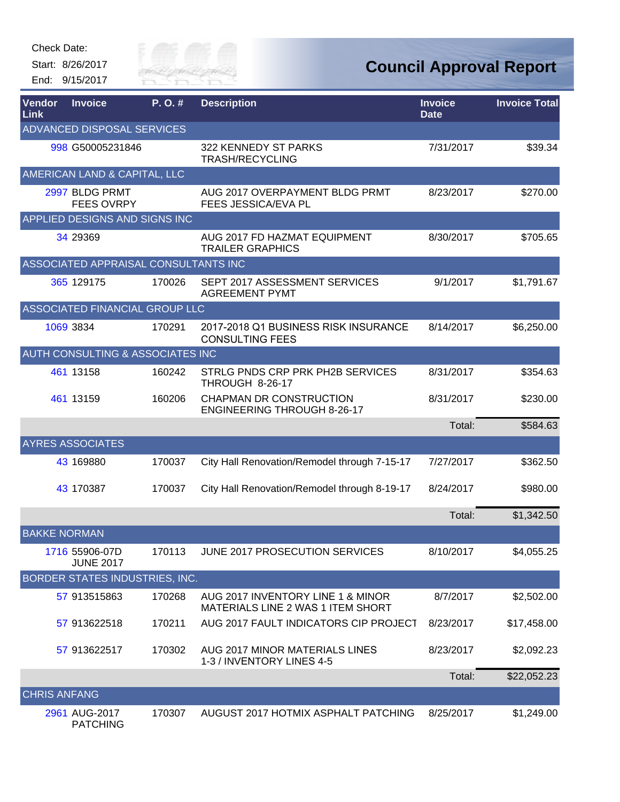Check Date:



| Vendor<br>Link      | <b>Invoice</b>                       | P.O.#  | <b>Description</b>                                                     | <b>Invoice</b><br><b>Date</b> | <b>Invoice Total</b> |
|---------------------|--------------------------------------|--------|------------------------------------------------------------------------|-------------------------------|----------------------|
|                     | ADVANCED DISPOSAL SERVICES           |        |                                                                        |                               |                      |
|                     | 998 G50005231846                     |        | 322 KENNEDY ST PARKS<br><b>TRASH/RECYCLING</b>                         | 7/31/2017                     | \$39.34              |
|                     | AMERICAN LAND & CAPITAL, LLC         |        |                                                                        |                               |                      |
|                     | 2997 BLDG PRMT<br><b>FEES OVRPY</b>  |        | AUG 2017 OVERPAYMENT BLDG PRMT<br>FEES JESSICA/EVA PL                  | 8/23/2017                     | \$270.00             |
|                     | APPLIED DESIGNS AND SIGNS INC        |        |                                                                        |                               |                      |
|                     | 34 29369                             |        | AUG 2017 FD HAZMAT EQUIPMENT<br><b>TRAILER GRAPHICS</b>                | 8/30/2017                     | \$705.65             |
|                     | ASSOCIATED APPRAISAL CONSULTANTS INC |        |                                                                        |                               |                      |
|                     | 365 129175                           | 170026 | SEPT 2017 ASSESSMENT SERVICES<br><b>AGREEMENT PYMT</b>                 | 9/1/2017                      | \$1,791.67           |
|                     | ASSOCIATED FINANCIAL GROUP LLC       |        |                                                                        |                               |                      |
|                     | 1069 3834                            | 170291 | 2017-2018 Q1 BUSINESS RISK INSURANCE<br><b>CONSULTING FEES</b>         | 8/14/2017                     | \$6,250.00           |
|                     | AUTH CONSULTING & ASSOCIATES INC     |        |                                                                        |                               |                      |
|                     | 461 13158                            | 160242 | STRLG PNDS CRP PRK PH2B SERVICES<br>THROUGH 8-26-17                    | 8/31/2017                     | \$354.63             |
|                     | 461 13159                            | 160206 | <b>CHAPMAN DR CONSTRUCTION</b><br><b>ENGINEERING THROUGH 8-26-17</b>   | 8/31/2017                     | \$230.00             |
|                     |                                      |        |                                                                        | Total:                        | \$584.63             |
|                     | <b>AYRES ASSOCIATES</b>              |        |                                                                        |                               |                      |
|                     | 43 169880                            | 170037 | City Hall Renovation/Remodel through 7-15-17                           | 7/27/2017                     | \$362.50             |
|                     | 43 170387                            | 170037 | City Hall Renovation/Remodel through 8-19-17                           | 8/24/2017                     | \$980.00             |
|                     |                                      |        |                                                                        | Total:                        | \$1,342.50           |
| <b>BAKKE NORMAN</b> |                                      |        |                                                                        |                               |                      |
|                     | 1716 55906-07D<br><b>JUNE 2017</b>   | 170113 | JUNE 2017 PROSECUTION SERVICES                                         | 8/10/2017                     | \$4,055.25           |
|                     | BORDER STATES INDUSTRIES, INC.       |        |                                                                        |                               |                      |
|                     | 57 913515863                         | 170268 | AUG 2017 INVENTORY LINE 1 & MINOR<br>MATERIALS LINE 2 WAS 1 ITEM SHORT | 8/7/2017                      | \$2,502.00           |
|                     | 57 913622518                         | 170211 | AUG 2017 FAULT INDICATORS CIP PROJECT                                  | 8/23/2017                     | \$17,458.00          |
|                     | 57 913622517                         | 170302 | AUG 2017 MINOR MATERIALS LINES<br>1-3 / INVENTORY LINES 4-5            | 8/23/2017                     | \$2,092.23           |
|                     |                                      |        |                                                                        | Total:                        | \$22,052.23          |
| <b>CHRIS ANFANG</b> |                                      |        |                                                                        |                               |                      |
|                     | 2961 AUG-2017<br><b>PATCHING</b>     | 170307 | AUGUST 2017 HOTMIX ASPHALT PATCHING                                    | 8/25/2017                     | \$1,249.00           |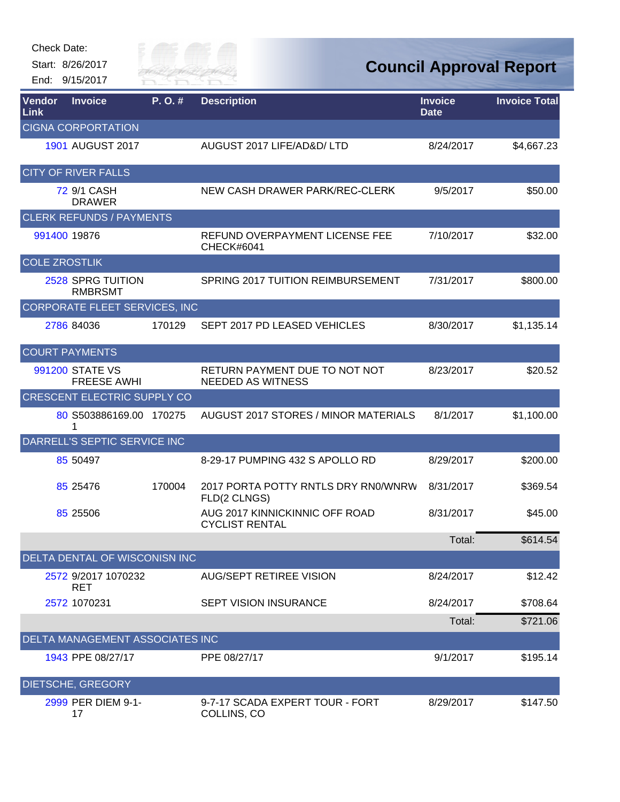| Check Date: |  |
|-------------|--|
|-------------|--|



| <b>Vendor</b><br>Link | <b>Invoice</b>                         | P.O.#  | <b>Description</b>                                        | <b>Invoice</b><br><b>Date</b> | <b>Invoice Total</b> |
|-----------------------|----------------------------------------|--------|-----------------------------------------------------------|-------------------------------|----------------------|
|                       | <b>CIGNA CORPORTATION</b>              |        |                                                           |                               |                      |
|                       | <b>1901 AUGUST 2017</b>                |        | AUGUST 2017 LIFE/AD&D/ LTD                                | 8/24/2017                     | \$4,667.23           |
|                       | <b>CITY OF RIVER FALLS</b>             |        |                                                           |                               |                      |
|                       | 72 9/1 CASH<br><b>DRAWER</b>           |        | NEW CASH DRAWER PARK/REC-CLERK                            | 9/5/2017                      | \$50.00              |
|                       | <b>CLERK REFUNDS / PAYMENTS</b>        |        |                                                           |                               |                      |
|                       | 991400 19876                           |        | REFUND OVERPAYMENT LICENSE FEE<br>CHECK#6041              | 7/10/2017                     | \$32.00              |
| <b>COLE ZROSTLIK</b>  |                                        |        |                                                           |                               |                      |
|                       | 2528 SPRG TUITION<br><b>RMBRSMT</b>    |        | SPRING 2017 TUITION REIMBURSEMENT                         | 7/31/2017                     | \$800.00             |
|                       | CORPORATE FLEET SERVICES, INC          |        |                                                           |                               |                      |
|                       | 2786 84036                             | 170129 | SEPT 2017 PD LEASED VEHICLES                              | 8/30/2017                     | \$1,135.14           |
|                       | <b>COURT PAYMENTS</b>                  |        |                                                           |                               |                      |
|                       | 991200 STATE VS<br><b>FREESE AWHI</b>  |        | RETURN PAYMENT DUE TO NOT NOT<br><b>NEEDED AS WITNESS</b> | 8/23/2017                     | \$20.52              |
|                       | <b>CRESCENT ELECTRIC SUPPLY CO</b>     |        |                                                           |                               |                      |
|                       | 80 S503886169.00 170275<br>1           |        | AUGUST 2017 STORES / MINOR MATERIALS                      | 8/1/2017                      | \$1,100.00           |
|                       | DARRELL'S SEPTIC SERVICE INC           |        |                                                           |                               |                      |
|                       | 85 50497                               |        | 8-29-17 PUMPING 432 S APOLLO RD                           | 8/29/2017                     | \$200.00             |
|                       | 85 25476                               | 170004 | 2017 PORTA POTTY RNTLS DRY RN0/WNRW<br>FLD(2 CLNGS)       | 8/31/2017                     | \$369.54             |
|                       | 85 25506                               |        | AUG 2017 KINNICKINNIC OFF ROAD<br><b>CYCLIST RENTAL</b>   | 8/31/2017                     | \$45.00              |
|                       |                                        |        |                                                           | Total:                        | \$614.54             |
|                       | DELTA DENTAL OF WISCONISN INC          |        |                                                           |                               |                      |
|                       | 2572 9/2017 1070232<br><b>RET</b>      |        | AUG/SEPT RETIREE VISION                                   | 8/24/2017                     | \$12.42              |
|                       | 2572 1070231                           |        | <b>SEPT VISION INSURANCE</b>                              | 8/24/2017                     | \$708.64             |
|                       |                                        |        |                                                           | Total:                        | \$721.06             |
|                       | <b>DELTA MANAGEMENT ASSOCIATES INC</b> |        |                                                           |                               |                      |
|                       | 1943 PPE 08/27/17                      |        | PPE 08/27/17                                              | 9/1/2017                      | \$195.14             |
|                       | <b>DIETSCHE, GREGORY</b>               |        |                                                           |                               |                      |
|                       | 2999 PER DIEM 9-1-<br>17               |        | 9-7-17 SCADA EXPERT TOUR - FORT<br>COLLINS, CO            | 8/29/2017                     | \$147.50             |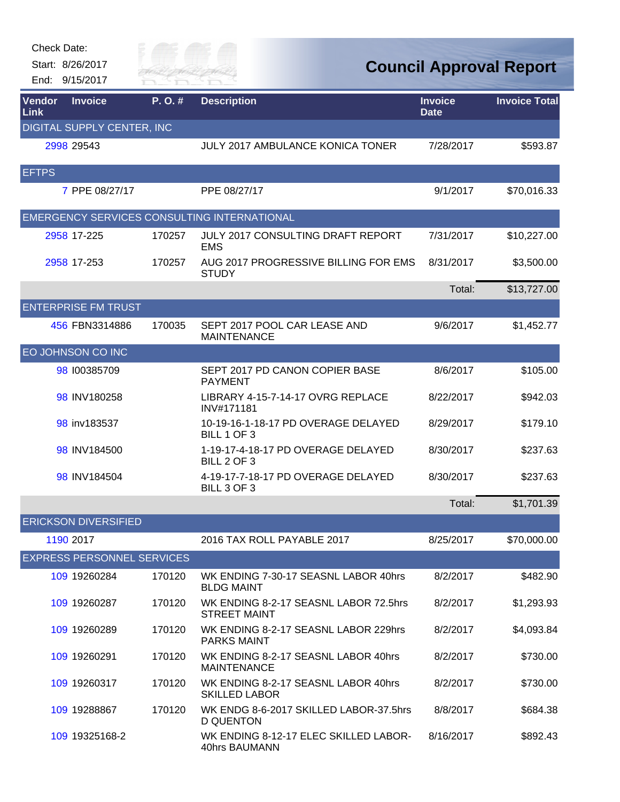| <b>Check Date:</b>    |                                    |                      |                                                              |                               |                                |
|-----------------------|------------------------------------|----------------------|--------------------------------------------------------------|-------------------------------|--------------------------------|
|                       | Start: 8/26/2017<br>End: 9/15/2017 | City of<br>RIVER FAI |                                                              |                               | <b>Council Approval Report</b> |
| Vendor<br><b>Link</b> | <b>Invoice</b>                     | P.O.#                | <b>Description</b>                                           | <b>Invoice</b><br><b>Date</b> | <b>Invoice Total</b>           |
|                       | DIGITAL SUPPLY CENTER, INC         |                      |                                                              |                               |                                |
|                       | 2998 29543                         |                      | JULY 2017 AMBULANCE KONICA TONER                             | 7/28/2017                     | \$593.87                       |
| <b>EFTPS</b>          |                                    |                      |                                                              |                               |                                |
|                       | 7 PPE 08/27/17                     |                      | PPE 08/27/17                                                 | 9/1/2017                      | \$70,016.33                    |
|                       |                                    |                      | EMERGENCY SERVICES CONSULTING INTERNATIONAL                  |                               |                                |
|                       | 2958 17-225                        | 170257               | <b>JULY 2017 CONSULTING DRAFT REPORT</b><br><b>EMS</b>       | 7/31/2017                     | \$10,227.00                    |
|                       | 2958 17-253                        | 170257               | AUG 2017 PROGRESSIVE BILLING FOR EMS<br><b>STUDY</b>         | 8/31/2017                     | \$3,500.00                     |
|                       |                                    |                      |                                                              | Total:                        | \$13,727.00                    |
|                       | <b>ENTERPRISE FM TRUST</b>         |                      |                                                              |                               |                                |
|                       | 456 FBN3314886                     | 170035               | SEPT 2017 POOL CAR LEASE AND<br><b>MAINTENANCE</b>           | 9/6/2017                      | \$1,452.77                     |
|                       | EO JOHNSON CO INC                  |                      |                                                              |                               |                                |
|                       | 98 100385709                       |                      | SEPT 2017 PD CANON COPIER BASE<br><b>PAYMENT</b>             | 8/6/2017                      | \$105.00                       |
|                       | 98 INV180258                       |                      | LIBRARY 4-15-7-14-17 OVRG REPLACE<br>INV#171181              | 8/22/2017                     | \$942.03                       |
|                       | 98 inv183537                       |                      | 10-19-16-1-18-17 PD OVERAGE DELAYED<br>BILL 1 OF 3           | 8/29/2017                     | \$179.10                       |
|                       | 98 INV184500                       |                      | 1-19-17-4-18-17 PD OVERAGE DELAYED<br>BILL 2 OF 3            | 8/30/2017                     | \$237.63                       |
|                       | 98 INV184504                       |                      | 4-19-17-7-18-17 PD OVERAGE DELAYED<br>BILL 3 OF 3            | 8/30/2017                     | \$237.63                       |
|                       |                                    |                      |                                                              | Total:                        | \$1,701.39                     |
|                       | <b>ERICKSON DIVERSIFIED</b>        |                      |                                                              |                               |                                |
|                       | 1190 2017                          |                      | 2016 TAX ROLL PAYABLE 2017                                   | 8/25/2017                     | \$70,000.00                    |
|                       | <b>EXPRESS PERSONNEL SERVICES</b>  |                      |                                                              |                               |                                |
|                       | 109 19260284                       | 170120               | WK ENDING 7-30-17 SEASNL LABOR 40hrs<br><b>BLDG MAINT</b>    | 8/2/2017                      | \$482.90                       |
|                       | 109 19260287                       | 170120               | WK ENDING 8-2-17 SEASNL LABOR 72.5hrs<br><b>STREET MAINT</b> | 8/2/2017                      | \$1,293.93                     |
|                       | 109 19260289                       | 170120               | WK ENDING 8-2-17 SEASNL LABOR 229hrs<br><b>PARKS MAINT</b>   | 8/2/2017                      | \$4,093.84                     |
|                       | 109 19260291                       | 170120               | WK ENDING 8-2-17 SEASNL LABOR 40hrs<br><b>MAINTENANCE</b>    | 8/2/2017                      | \$730.00                       |
|                       | 109 19260317                       | 170120               | WK ENDING 8-2-17 SEASNL LABOR 40hrs<br><b>SKILLED LABOR</b>  | 8/2/2017                      | \$730.00                       |
|                       | 109 19288867                       | 170120               | WK ENDG 8-6-2017 SKILLED LABOR-37.5hrs<br><b>D QUENTON</b>   | 8/8/2017                      | \$684.38                       |
|                       | 109 19325168-2                     |                      | WK ENDING 8-12-17 ELEC SKILLED LABOR-<br>40hrs BAUMANN       | 8/16/2017                     | \$892.43                       |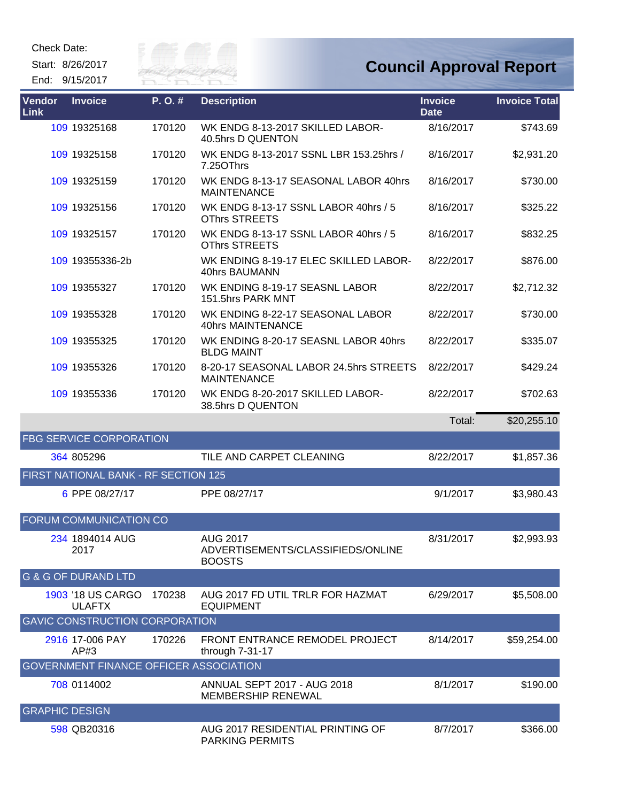Check Date:

Start: 8/26/2017





| <b>Vendor</b><br>Link | <b>Invoice</b>                         | P.O.#  | <b>Description</b>                                                    | <b>Invoice</b><br><b>Date</b> | <b>Invoice Total</b> |
|-----------------------|----------------------------------------|--------|-----------------------------------------------------------------------|-------------------------------|----------------------|
|                       | 109 19325168                           | 170120 | WK ENDG 8-13-2017 SKILLED LABOR-<br>40.5hrs D QUENTON                 | 8/16/2017                     | \$743.69             |
|                       | 109 19325158                           | 170120 | WK ENDG 8-13-2017 SSNL LBR 153.25hrs /<br>7.25OThrs                   | 8/16/2017                     | \$2,931.20           |
|                       | 109 19325159                           | 170120 | WK ENDG 8-13-17 SEASONAL LABOR 40hrs<br><b>MAINTENANCE</b>            | 8/16/2017                     | \$730.00             |
|                       | 109 19325156                           | 170120 | WK ENDG 8-13-17 SSNL LABOR 40hrs / 5<br>OThrs STREETS                 | 8/16/2017                     | \$325.22             |
|                       | 109 19325157                           | 170120 | WK ENDG 8-13-17 SSNL LABOR 40hrs / 5<br><b>OThrs STREETS</b>          | 8/16/2017                     | \$832.25             |
|                       | 109 19355336-2b                        |        | WK ENDING 8-19-17 ELEC SKILLED LABOR-<br>40hrs BAUMANN                | 8/22/2017                     | \$876.00             |
|                       | 109 19355327                           | 170120 | WK ENDING 8-19-17 SEASNL LABOR<br>151.5hrs PARK MNT                   | 8/22/2017                     | \$2,712.32           |
|                       | 109 19355328                           | 170120 | WK ENDING 8-22-17 SEASONAL LABOR<br>40hrs MAINTENANCE                 | 8/22/2017                     | \$730.00             |
|                       | 109 19355325                           | 170120 | WK ENDING 8-20-17 SEASNL LABOR 40hrs<br><b>BLDG MAINT</b>             | 8/22/2017                     | \$335.07             |
|                       | 109 19355326                           | 170120 | 8-20-17 SEASONAL LABOR 24.5hrs STREETS<br><b>MAINTENANCE</b>          | 8/22/2017                     | \$429.24             |
|                       | 109 19355336                           | 170120 | WK ENDG 8-20-2017 SKILLED LABOR-<br>38.5hrs D QUENTON                 | 8/22/2017                     | \$702.63             |
|                       |                                        |        |                                                                       | Total:                        | \$20,255.10          |
|                       | <b>FBG SERVICE CORPORATION</b>         |        |                                                                       |                               |                      |
|                       | 364 805296                             |        | TILE AND CARPET CLEANING                                              | 8/22/2017                     | \$1,857.36           |
|                       | FIRST NATIONAL BANK - RF SECTION 125   |        |                                                                       |                               |                      |
|                       | 6 PPE 08/27/17                         |        | PPE 08/27/17                                                          | 9/1/2017                      | \$3,980.43           |
|                       | FORUM COMMUNICATION CO                 |        |                                                                       |                               |                      |
|                       | 234 1894014 AUG<br>2017                |        | <b>AUG 2017</b><br>ADVERTISEMENTS/CLASSIFIEDS/ONLINE<br><b>BOOSTS</b> | 8/31/2017                     | \$2,993.93           |
|                       | <b>G &amp; G OF DURAND LTD</b>         |        |                                                                       |                               |                      |
|                       | 1903 '18 US CARGO<br><b>ULAFTX</b>     | 170238 | AUG 2017 FD UTIL TRLR FOR HAZMAT<br><b>EQUIPMENT</b>                  | 6/29/2017                     | \$5,508.00           |
|                       | <b>GAVIC CONSTRUCTION CORPORATION</b>  |        |                                                                       |                               |                      |
|                       | 2916 17-006 PAY<br>AP#3                | 170226 | FRONT ENTRANCE REMODEL PROJECT<br>through 7-31-17                     | 8/14/2017                     | \$59,254.00          |
|                       | GOVERNMENT FINANCE OFFICER ASSOCIATION |        |                                                                       |                               |                      |
|                       | 708 0114002                            |        | <b>ANNUAL SEPT 2017 - AUG 2018</b><br><b>MEMBERSHIP RENEWAL</b>       | 8/1/2017                      | \$190.00             |
| <b>GRAPHIC DESIGN</b> |                                        |        |                                                                       |                               |                      |
|                       | 598 QB20316                            |        | AUG 2017 RESIDENTIAL PRINTING OF<br><b>PARKING PERMITS</b>            | 8/7/2017                      | \$366.00             |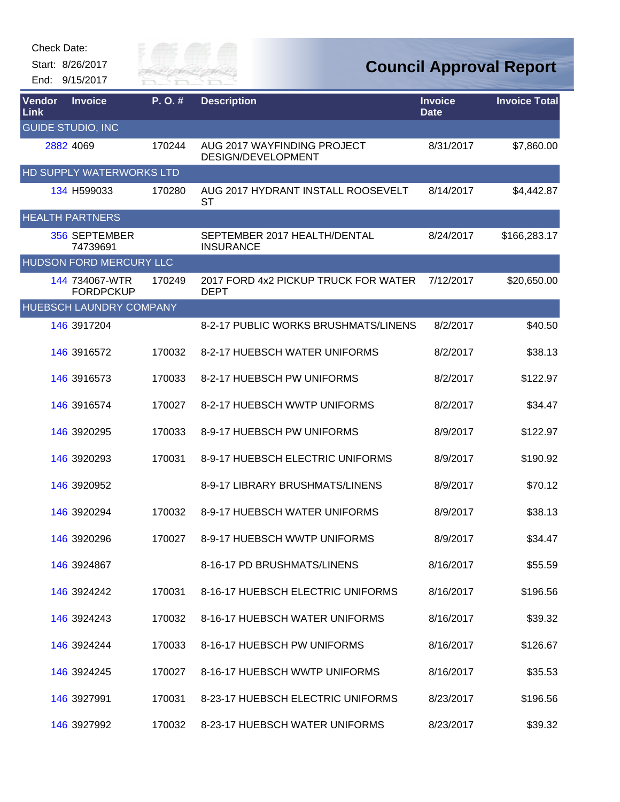

| Vendor<br><b>Link</b> | <b>Invoice</b>                     | P.O.#  | <b>Description</b>                                  | <b>Invoice</b><br><b>Date</b> | <b>Invoice Total</b> |
|-----------------------|------------------------------------|--------|-----------------------------------------------------|-------------------------------|----------------------|
|                       | <b>GUIDE STUDIO, INC</b>           |        |                                                     |                               |                      |
|                       | 2882 4069                          | 170244 | AUG 2017 WAYFINDING PROJECT<br>DESIGN/DEVELOPMENT   | 8/31/2017                     | \$7,860.00           |
|                       | <b>HD SUPPLY WATERWORKS LTD</b>    |        |                                                     |                               |                      |
|                       | 134 H599033                        | 170280 | AUG 2017 HYDRANT INSTALL ROOSEVELT<br>ST            | 8/14/2017                     | \$4,442.87           |
|                       | <b>HEALTH PARTNERS</b>             |        |                                                     |                               |                      |
|                       | 356 SEPTEMBER<br>74739691          |        | SEPTEMBER 2017 HEALTH/DENTAL<br><b>INSURANCE</b>    | 8/24/2017                     | \$166,283.17         |
|                       | <b>HUDSON FORD MERCURY LLC</b>     |        |                                                     |                               |                      |
|                       | 144 734067-WTR<br><b>FORDPCKUP</b> | 170249 | 2017 FORD 4x2 PICKUP TRUCK FOR WATER<br><b>DEPT</b> | 7/12/2017                     | \$20,650.00          |
|                       | <b>HUEBSCH LAUNDRY COMPANY</b>     |        |                                                     |                               |                      |
|                       | 146 3917204                        |        | 8-2-17 PUBLIC WORKS BRUSHMATS/LINENS                | 8/2/2017                      | \$40.50              |
|                       | 146 3916572                        | 170032 | 8-2-17 HUEBSCH WATER UNIFORMS                       | 8/2/2017                      | \$38.13              |
|                       | 146 3916573                        | 170033 | 8-2-17 HUEBSCH PW UNIFORMS                          | 8/2/2017                      | \$122.97             |
|                       | 146 3916574                        | 170027 | 8-2-17 HUEBSCH WWTP UNIFORMS                        | 8/2/2017                      | \$34.47              |
|                       | 146 3920295                        | 170033 | 8-9-17 HUEBSCH PW UNIFORMS                          | 8/9/2017                      | \$122.97             |
|                       | 146 3920293                        | 170031 | 8-9-17 HUEBSCH ELECTRIC UNIFORMS                    | 8/9/2017                      | \$190.92             |
|                       | 146 3920952                        |        | 8-9-17 LIBRARY BRUSHMATS/LINENS                     | 8/9/2017                      | \$70.12              |
|                       | 146 3920294                        | 170032 | 8-9-17 HUEBSCH WATER UNIFORMS                       | 8/9/2017                      | \$38.13              |
|                       | 146 3920296                        | 170027 | 8-9-17 HUEBSCH WWTP UNIFORMS                        | 8/9/2017                      | \$34.47              |
|                       | 146 3924867                        |        | 8-16-17 PD BRUSHMATS/LINENS                         | 8/16/2017                     | \$55.59              |
|                       | 146 3924242                        | 170031 | 8-16-17 HUEBSCH ELECTRIC UNIFORMS                   | 8/16/2017                     | \$196.56             |
|                       | 146 3924243                        | 170032 | 8-16-17 HUEBSCH WATER UNIFORMS                      | 8/16/2017                     | \$39.32              |
|                       | 146 3924244                        | 170033 | 8-16-17 HUEBSCH PW UNIFORMS                         | 8/16/2017                     | \$126.67             |
|                       | 146 3924245                        | 170027 | 8-16-17 HUEBSCH WWTP UNIFORMS                       | 8/16/2017                     | \$35.53              |
|                       | 146 3927991                        | 170031 | 8-23-17 HUEBSCH ELECTRIC UNIFORMS                   | 8/23/2017                     | \$196.56             |
|                       | 146 3927992                        | 170032 | 8-23-17 HUEBSCH WATER UNIFORMS                      | 8/23/2017                     | \$39.32              |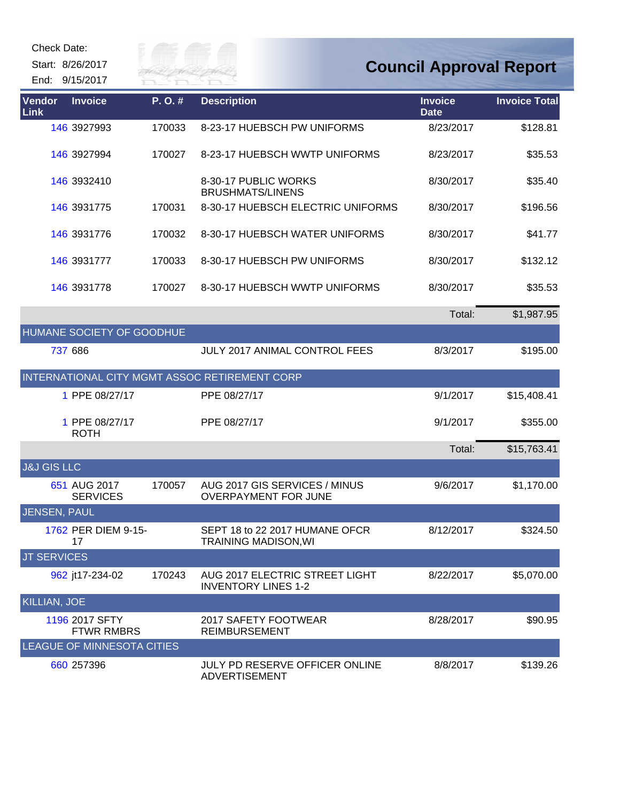| Check Date: |  |
|-------------|--|
|-------------|--|

Start: 8/26/2017

End: 9/15/2017



| Vendor<br>Link         | <b>Invoice</b>                      | P.O.#  | <b>Description</b>                                            | <b>Invoice</b><br><b>Date</b> | <b>Invoice Total</b> |
|------------------------|-------------------------------------|--------|---------------------------------------------------------------|-------------------------------|----------------------|
|                        | 146 3927993                         | 170033 | 8-23-17 HUEBSCH PW UNIFORMS                                   | 8/23/2017                     | \$128.81             |
|                        | 146 3927994                         | 170027 | 8-23-17 HUEBSCH WWTP UNIFORMS                                 | 8/23/2017                     | \$35.53              |
|                        | 146 3932410                         |        | 8-30-17 PUBLIC WORKS<br><b>BRUSHMATS/LINENS</b>               | 8/30/2017                     | \$35.40              |
|                        | 146 3931775                         | 170031 | 8-30-17 HUEBSCH ELECTRIC UNIFORMS                             | 8/30/2017                     | \$196.56             |
|                        | 146 3931776                         | 170032 | 8-30-17 HUEBSCH WATER UNIFORMS                                | 8/30/2017                     | \$41.77              |
|                        | 146 3931777                         | 170033 | 8-30-17 HUEBSCH PW UNIFORMS                                   | 8/30/2017                     | \$132.12             |
|                        | 146 3931778                         | 170027 | 8-30-17 HUEBSCH WWTP UNIFORMS                                 | 8/30/2017                     | \$35.53              |
|                        |                                     |        |                                                               | Total:                        | \$1,987.95           |
|                        | HUMANE SOCIETY OF GOODHUE           |        |                                                               |                               |                      |
|                        | 737 686                             |        | JULY 2017 ANIMAL CONTROL FEES                                 | 8/3/2017                      | \$195.00             |
|                        |                                     |        | INTERNATIONAL CITY MGMT ASSOC RETIREMENT CORP                 |                               |                      |
|                        | 1 PPE 08/27/17                      |        | PPE 08/27/17                                                  | 9/1/2017                      | \$15,408.41          |
|                        | 1 PPE 08/27/17<br><b>ROTH</b>       |        | PPE 08/27/17                                                  | 9/1/2017                      | \$355.00             |
|                        |                                     |        |                                                               | Total:                        | \$15,763.41          |
| <b>J&amp;J GIS LLC</b> |                                     |        |                                                               |                               |                      |
|                        | 651 AUG 2017<br><b>SERVICES</b>     | 170057 | AUG 2017 GIS SERVICES / MINUS<br><b>OVERPAYMENT FOR JUNE</b>  | 9/6/2017                      | \$1,170.00           |
| <b>JENSEN, PAUL</b>    |                                     |        |                                                               |                               |                      |
|                        | 1762 PER DIEM 9-15-<br>17           |        | SEPT 18 to 22 2017 HUMANE OFCR<br><b>TRAINING MADISON, WI</b> | 8/12/2017                     | \$324.50             |
| <b>JT SERVICES</b>     |                                     |        |                                                               |                               |                      |
|                        | 962 jt17-234-02                     | 170243 | AUG 2017 ELECTRIC STREET LIGHT<br><b>INVENTORY LINES 1-2</b>  | 8/22/2017                     | \$5,070.00           |
| <b>KILLIAN, JOE</b>    |                                     |        |                                                               |                               |                      |
|                        | 1196 2017 SFTY<br><b>FTWR RMBRS</b> |        | 2017 SAFETY FOOTWEAR<br><b>REIMBURSEMENT</b>                  | 8/28/2017                     | \$90.95              |
|                        | <b>LEAGUE OF MINNESOTA CITIES</b>   |        |                                                               |                               |                      |
|                        | 660 257396                          |        | JULY PD RESERVE OFFICER ONLINE<br><b>ADVERTISEMENT</b>        | 8/8/2017                      | \$139.26             |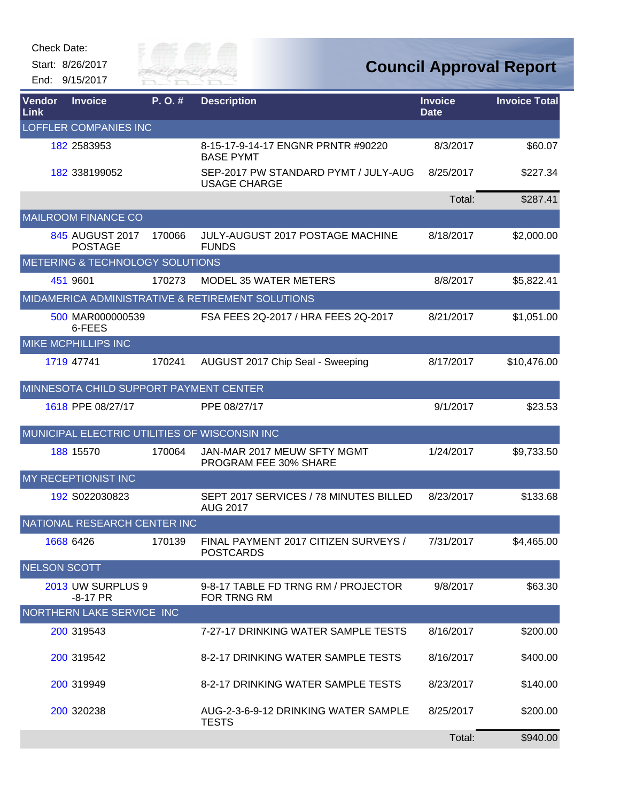| Check Date: |  |
|-------------|--|
|-------------|--|



| <b>Vendor</b><br>Link | <b>Invoice</b>                         | P. O.# | <b>Description</b>                                          | <b>Invoice</b><br><b>Date</b> | <b>Invoice Total</b> |
|-----------------------|----------------------------------------|--------|-------------------------------------------------------------|-------------------------------|----------------------|
|                       | <b>LOFFLER COMPANIES INC</b>           |        |                                                             |                               |                      |
|                       | 182 2583953                            |        | 8-15-17-9-14-17 ENGNR PRNTR #90220<br><b>BASE PYMT</b>      | 8/3/2017                      | \$60.07              |
|                       | 182 338199052                          |        | SEP-2017 PW STANDARD PYMT / JULY-AUG<br><b>USAGE CHARGE</b> | 8/25/2017                     | \$227.34             |
|                       |                                        |        |                                                             | Total:                        | \$287.41             |
|                       | <b>MAILROOM FINANCE CO</b>             |        |                                                             |                               |                      |
|                       | 845 AUGUST 2017<br><b>POSTAGE</b>      | 170066 | <b>JULY-AUGUST 2017 POSTAGE MACHINE</b><br><b>FUNDS</b>     | 8/18/2017                     | \$2,000.00           |
|                       | METERING & TECHNOLOGY SOLUTIONS        |        |                                                             |                               |                      |
|                       | 451 9601                               | 170273 | <b>MODEL 35 WATER METERS</b>                                | 8/8/2017                      | \$5,822.41           |
|                       |                                        |        | MIDAMERICA ADMINISTRATIVE & RETIREMENT SOLUTIONS            |                               |                      |
|                       | 500 MAR000000539<br>6-FEES             |        | FSA FEES 2Q-2017 / HRA FEES 2Q-2017                         | 8/21/2017                     | \$1,051.00           |
|                       | <b>MIKE MCPHILLIPS INC</b>             |        |                                                             |                               |                      |
|                       | 1719 47741                             | 170241 | AUGUST 2017 Chip Seal - Sweeping                            | 8/17/2017                     | \$10,476.00          |
|                       | MINNESOTA CHILD SUPPORT PAYMENT CENTER |        |                                                             |                               |                      |
|                       | 1618 PPE 08/27/17                      |        | PPE 08/27/17                                                | 9/1/2017                      | \$23.53              |
|                       |                                        |        | MUNICIPAL ELECTRIC UTILITIES OF WISCONSIN INC               |                               |                      |
|                       | 188 15570                              | 170064 | JAN-MAR 2017 MEUW SFTY MGMT<br>PROGRAM FEE 30% SHARE        | 1/24/2017                     | \$9,733.50           |
|                       | MY RECEPTIONIST INC                    |        |                                                             |                               |                      |
|                       | 192 S022030823                         |        | SEPT 2017 SERVICES / 78 MINUTES BILLED<br><b>AUG 2017</b>   | 8/23/2017                     | \$133.68             |
|                       | NATIONAL RESEARCH CENTER INC           |        |                                                             |                               |                      |
|                       | 1668 6426                              | 170139 | FINAL PAYMENT 2017 CITIZEN SURVEYS /<br><b>POSTCARDS</b>    | 7/31/2017                     | \$4,465.00           |
| <b>NELSON SCOTT</b>   |                                        |        |                                                             |                               |                      |
|                       | 2013 UW SURPLUS 9<br>$-8-17$ PR        |        | 9-8-17 TABLE FD TRNG RM / PROJECTOR<br>FOR TRNG RM          | 9/8/2017                      | \$63.30              |
|                       | NORTHERN LAKE SERVICE INC              |        |                                                             |                               |                      |
|                       | 200 319543                             |        | 7-27-17 DRINKING WATER SAMPLE TESTS                         | 8/16/2017                     | \$200.00             |
|                       | 200 319542                             |        | 8-2-17 DRINKING WATER SAMPLE TESTS                          | 8/16/2017                     | \$400.00             |
|                       | 200 319949                             |        | 8-2-17 DRINKING WATER SAMPLE TESTS                          | 8/23/2017                     | \$140.00             |
|                       | 200 320238                             |        | AUG-2-3-6-9-12 DRINKING WATER SAMPLE<br><b>TESTS</b>        | 8/25/2017                     | \$200.00             |
|                       |                                        |        |                                                             | Total:                        | \$940.00             |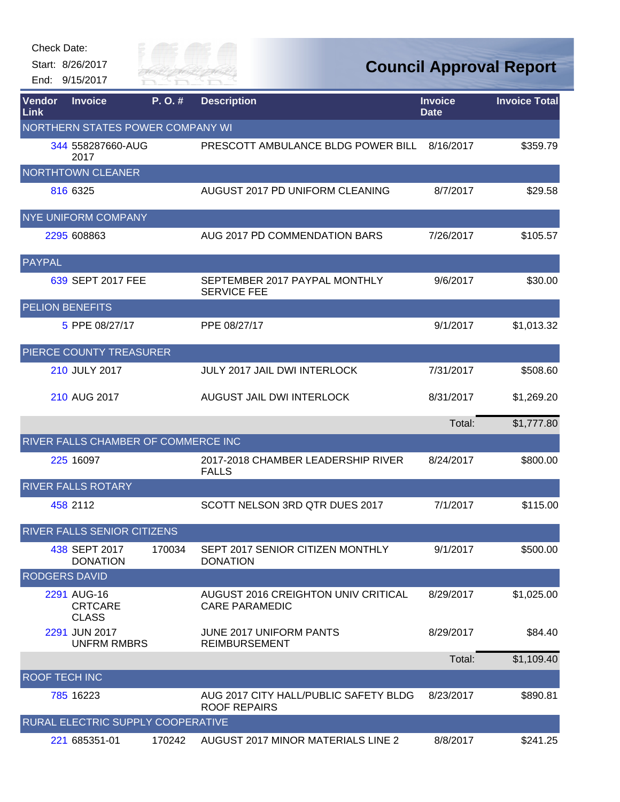| Check Date: |  |
|-------------|--|
|-------------|--|



| Vendor<br>Link                   | <b>Invoice</b>                                | P.O.#  | <b>Description</b>                                           | <b>Invoice</b><br><b>Date</b> | <b>Invoice Total</b> |  |  |
|----------------------------------|-----------------------------------------------|--------|--------------------------------------------------------------|-------------------------------|----------------------|--|--|
| NORTHERN STATES POWER COMPANY WI |                                               |        |                                                              |                               |                      |  |  |
|                                  | 344 558287660-AUG<br>2017                     |        | PRESCOTT AMBULANCE BLDG POWER BILL                           | 8/16/2017                     | \$359.79             |  |  |
|                                  | <b>NORTHTOWN CLEANER</b>                      |        |                                                              |                               |                      |  |  |
|                                  | 816 6325                                      |        | AUGUST 2017 PD UNIFORM CLEANING                              | 8/7/2017                      | \$29.58              |  |  |
|                                  | <b>NYE UNIFORM COMPANY</b>                    |        |                                                              |                               |                      |  |  |
|                                  | 2295 608863                                   |        | AUG 2017 PD COMMENDATION BARS                                | 7/26/2017                     | \$105.57             |  |  |
| PAYPAL                           |                                               |        |                                                              |                               |                      |  |  |
|                                  | 639 SEPT 2017 FEE                             |        | SEPTEMBER 2017 PAYPAL MONTHLY<br><b>SERVICE FEE</b>          | 9/6/2017                      | \$30.00              |  |  |
| <b>PELION BENEFITS</b>           |                                               |        |                                                              |                               |                      |  |  |
|                                  | 5 PPE 08/27/17                                |        | PPE 08/27/17                                                 | 9/1/2017                      | \$1,013.32           |  |  |
|                                  | PIERCE COUNTY TREASURER                       |        |                                                              |                               |                      |  |  |
|                                  | 210 JULY 2017                                 |        | <b>JULY 2017 JAIL DWI INTERLOCK</b>                          | 7/31/2017                     | \$508.60             |  |  |
|                                  | 210 AUG 2017                                  |        | AUGUST JAIL DWI INTERLOCK                                    | 8/31/2017                     | \$1,269.20           |  |  |
|                                  |                                               |        |                                                              | Total:                        | \$1,777.80           |  |  |
|                                  | RIVER FALLS CHAMBER OF COMMERCE INC           |        |                                                              |                               |                      |  |  |
|                                  | 225 16097                                     |        | 2017-2018 CHAMBER LEADERSHIP RIVER<br><b>FALLS</b>           | 8/24/2017                     | \$800.00             |  |  |
|                                  | <b>RIVER FALLS ROTARY</b>                     |        |                                                              |                               |                      |  |  |
|                                  | 458 2112                                      |        | SCOTT NELSON 3RD QTR DUES 2017                               | 7/1/2017                      | \$115.00             |  |  |
|                                  | <b>RIVER FALLS SENIOR CITIZENS</b>            |        |                                                              |                               |                      |  |  |
|                                  | 438 SEPT 2017<br><b>DONATION</b>              | 170034 | SEPT 2017 SENIOR CITIZEN MONTHLY<br><b>DONATION</b>          | 9/1/2017                      | \$500.00             |  |  |
| <b>RODGERS DAVID</b>             |                                               |        |                                                              |                               |                      |  |  |
|                                  | 2291 AUG-16<br><b>CRTCARE</b><br><b>CLASS</b> |        | AUGUST 2016 CREIGHTON UNIV CRITICAL<br><b>CARE PARAMEDIC</b> | 8/29/2017                     | \$1,025.00           |  |  |
|                                  | 2291 JUN 2017<br><b>UNFRM RMBRS</b>           |        | JUNE 2017 UNIFORM PANTS<br><b>REIMBURSEMENT</b>              | 8/29/2017                     | \$84.40              |  |  |
|                                  |                                               |        |                                                              | Total:                        | \$1,109.40           |  |  |
| <b>ROOF TECH INC</b>             |                                               |        |                                                              |                               |                      |  |  |
|                                  | 785 16223                                     |        | AUG 2017 CITY HALL/PUBLIC SAFETY BLDG<br><b>ROOF REPAIRS</b> | 8/23/2017                     | \$890.81             |  |  |
|                                  | RURAL ELECTRIC SUPPLY COOPERATIVE             |        |                                                              |                               |                      |  |  |
|                                  | 221 685351-01                                 | 170242 | AUGUST 2017 MINOR MATERIALS LINE 2                           | 8/8/2017                      | \$241.25             |  |  |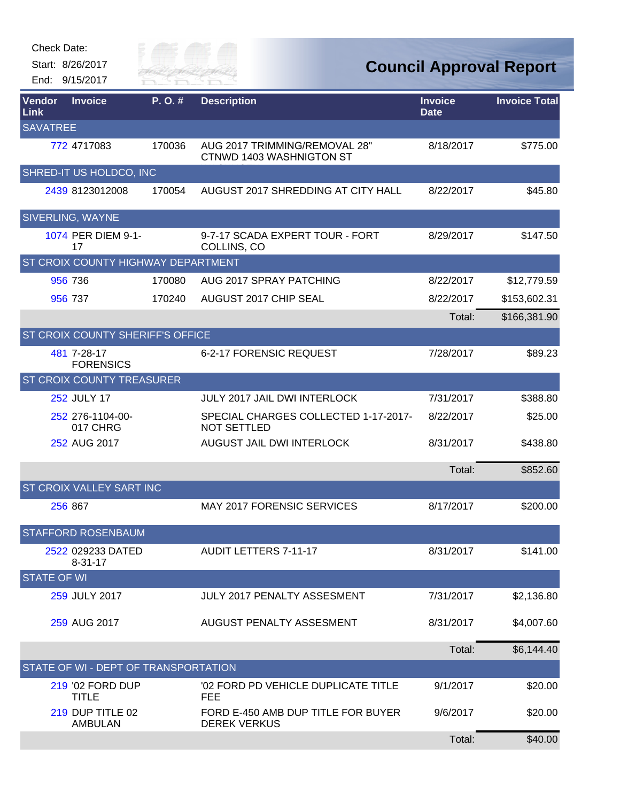| <b>Check Date:</b> | Start: 8/26/2017<br>End: 9/15/2017           | Silly of<br>RIVER FAI |                                                            |                               | <b>Council Approval Report</b> |
|--------------------|----------------------------------------------|-----------------------|------------------------------------------------------------|-------------------------------|--------------------------------|
| Vendor<br>Link     | <b>Invoice</b>                               | P.O.#                 | <b>Description</b>                                         | <b>Invoice</b><br><b>Date</b> | <b>Invoice Total</b>           |
| <b>SAVATREE</b>    | 772 4717083                                  | 170036                | AUG 2017 TRIMMING/REMOVAL 28"<br>CTNWD 1403 WASHNIGTON ST  | 8/18/2017                     | \$775.00                       |
|                    | SHRED-IT US HOLDCO, INC                      |                       |                                                            |                               |                                |
|                    | 2439 8123012008                              | 170054                | AUGUST 2017 SHREDDING AT CITY HALL                         | 8/22/2017                     | \$45.80                        |
|                    | SIVERLING, WAYNE<br>1074 PER DIEM 9-1-<br>17 |                       | 9-7-17 SCADA EXPERT TOUR - FORT<br>COLLINS, CO             | 8/29/2017                     | \$147.50                       |
|                    | <b>ST CROIX COUNTY HIGHWAY DEPARTMENT</b>    |                       |                                                            |                               |                                |
|                    | 956 736                                      | 170080                | AUG 2017 SPRAY PATCHING                                    | 8/22/2017                     | \$12,779.59                    |
|                    | 956 737                                      | 170240                | AUGUST 2017 CHIP SEAL                                      | 8/22/2017                     | \$153,602.31                   |
|                    |                                              |                       |                                                            | Total:                        | \$166,381.90                   |
|                    | ST CROIX COUNTY SHERIFF'S OFFICE             |                       |                                                            |                               |                                |
|                    | 481 7-28-17<br><b>FORENSICS</b>              |                       | 6-2-17 FORENSIC REQUEST                                    | 7/28/2017                     | \$89.23                        |
|                    | <b>ST CROIX COUNTY TREASURER</b>             |                       |                                                            |                               |                                |
|                    | <b>252 JULY 17</b>                           |                       | <b>JULY 2017 JAIL DWI INTERLOCK</b>                        | 7/31/2017                     | \$388.80                       |
|                    | 252 276-1104-00-<br>017 CHRG                 |                       | SPECIAL CHARGES COLLECTED 1-17-2017-<br><b>NOT SETTLED</b> | 8/22/2017                     | \$25.00                        |
|                    | 252 AUG 2017                                 |                       | AUGUST JAIL DWI INTERLOCK                                  | 8/31/2017                     | \$438.80                       |
|                    |                                              |                       |                                                            | Total:                        | \$852.60                       |
|                    | ST CROIX VALLEY SART INC                     |                       |                                                            |                               |                                |
|                    | 256 867                                      |                       | <b>MAY 2017 FORENSIC SERVICES</b>                          | 8/17/2017                     | \$200.00                       |
|                    | STAFFORD ROSENBAUM                           |                       |                                                            |                               |                                |
|                    | 2522 029233 DATED<br>$8 - 31 - 17$           |                       | <b>AUDIT LETTERS 7-11-17</b>                               | 8/31/2017                     | \$141.00                       |
| <b>STATE OF WI</b> |                                              |                       |                                                            |                               |                                |
|                    | 259 JULY 2017                                |                       | <b>JULY 2017 PENALTY ASSESMENT</b>                         | 7/31/2017                     | \$2,136.80                     |
|                    | 259 AUG 2017                                 |                       | AUGUST PENALTY ASSESMENT                                   | 8/31/2017                     | \$4,007.60                     |
|                    |                                              |                       |                                                            | Total:                        | \$6,144.40                     |
|                    | STATE OF WI - DEPT OF TRANSPORTATION         |                       |                                                            |                               |                                |
|                    | 219 '02 FORD DUP<br><b>TITLE</b>             |                       | '02 FORD PD VEHICLE DUPLICATE TITLE<br><b>FEE</b>          | 9/1/2017                      | \$20.00                        |
|                    | 219 DUP TITLE 02<br><b>AMBULAN</b>           |                       | FORD E-450 AMB DUP TITLE FOR BUYER<br><b>DEREK VERKUS</b>  | 9/6/2017                      | \$20.00                        |
|                    |                                              |                       |                                                            | Total:                        | \$40.00                        |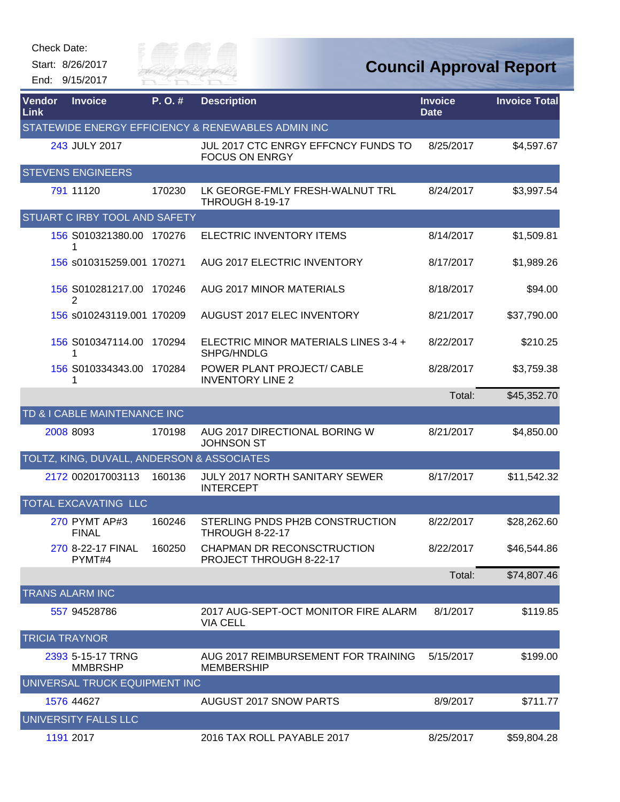Start: 8/26/2017

End: 9/15/2017

Gity of

| Vendor<br>Link        | <b>Invoice</b>                             | P.O.#  | <b>Description</b>                                           | <b>Invoice</b><br><b>Date</b> | <b>Invoice Total</b> |
|-----------------------|--------------------------------------------|--------|--------------------------------------------------------------|-------------------------------|----------------------|
|                       |                                            |        | STATEWIDE ENERGY EFFICIENCY & RENEWABLES ADMIN INC           |                               |                      |
|                       | 243 JULY 2017                              |        | JUL 2017 CTC ENRGY EFFCNCY FUNDS TO<br><b>FOCUS ON ENRGY</b> | 8/25/2017                     | \$4,597.67           |
|                       | <b>STEVENS ENGINEERS</b>                   |        |                                                              |                               |                      |
|                       | 791 11120                                  | 170230 | LK GEORGE-FMLY FRESH-WALNUT TRL<br>THROUGH 8-19-17           | 8/24/2017                     | \$3,997.54           |
|                       | STUART C IRBY TOOL AND SAFETY              |        |                                                              |                               |                      |
|                       | 156 S010321380.00 170276                   |        | <b>ELECTRIC INVENTORY ITEMS</b>                              | 8/14/2017                     | \$1,509.81           |
|                       | 156 s010315259.001 170271                  |        | AUG 2017 ELECTRIC INVENTORY                                  | 8/17/2017                     | \$1,989.26           |
|                       | 156 S010281217.00 170246<br>2              |        | AUG 2017 MINOR MATERIALS                                     | 8/18/2017                     | \$94.00              |
|                       | 156 s010243119.001 170209                  |        | AUGUST 2017 ELEC INVENTORY                                   | 8/21/2017                     | \$37,790.00          |
|                       | 156 S010347114.00 170294                   |        | ELECTRIC MINOR MATERIALS LINES 3-4 +<br>SHPG/HNDLG           | 8/22/2017                     | \$210.25             |
|                       | 156 S010334343.00 170284                   |        | POWER PLANT PROJECT/ CABLE<br><b>INVENTORY LINE 2</b>        | 8/28/2017                     | \$3,759.38           |
|                       |                                            |        |                                                              | Total:                        | \$45,352.70          |
|                       | TD & I CABLE MAINTENANCE INC               |        |                                                              |                               |                      |
|                       | 2008 8093                                  | 170198 | AUG 2017 DIRECTIONAL BORING W<br><b>JOHNSON ST</b>           | 8/21/2017                     | \$4,850.00           |
|                       | TOLTZ, KING, DUVALL, ANDERSON & ASSOCIATES |        |                                                              |                               |                      |
|                       | 2172 002017003113                          | 160136 | <b>JULY 2017 NORTH SANITARY SEWER</b><br><b>INTERCEPT</b>    | 8/17/2017                     | \$11,542.32          |
|                       | TOTAL EXCAVATING LLC                       |        |                                                              |                               |                      |
|                       | 270 PYMT AP#3<br><b>FINAL</b>              | 160246 | STERLING PNDS PH2B CONSTRUCTION<br><b>THROUGH 8-22-17</b>    | 8/22/2017                     | \$28,262.60          |
|                       | 270 8-22-17 FINAL<br>PYMT#4                | 160250 | CHAPMAN DR RECONSCTRUCTION<br>PROJECT THROUGH 8-22-17        | 8/22/2017                     | \$46,544.86          |
|                       |                                            |        |                                                              | Total:                        | \$74,807.46          |
|                       | <b>TRANS ALARM INC</b>                     |        |                                                              |                               |                      |
|                       | 557 94528786                               |        | 2017 AUG-SEPT-OCT MONITOR FIRE ALARM<br><b>VIA CELL</b>      | 8/1/2017                      | \$119.85             |
| <b>TRICIA TRAYNOR</b> |                                            |        |                                                              |                               |                      |
|                       | 2393 5-15-17 TRNG<br><b>MMBRSHP</b>        |        | AUG 2017 REIMBURSEMENT FOR TRAINING<br><b>MEMBERSHIP</b>     | 5/15/2017                     | \$199.00             |
|                       | UNIVERSAL TRUCK EQUIPMENT INC              |        |                                                              |                               |                      |
|                       | 1576 44627                                 |        | AUGUST 2017 SNOW PARTS                                       | 8/9/2017                      | \$711.77             |
|                       | UNIVERSITY FALLS LLC                       |        |                                                              |                               |                      |
|                       | 1191 2017                                  |        | 2016 TAX ROLL PAYABLE 2017                                   | 8/25/2017                     | \$59,804.28          |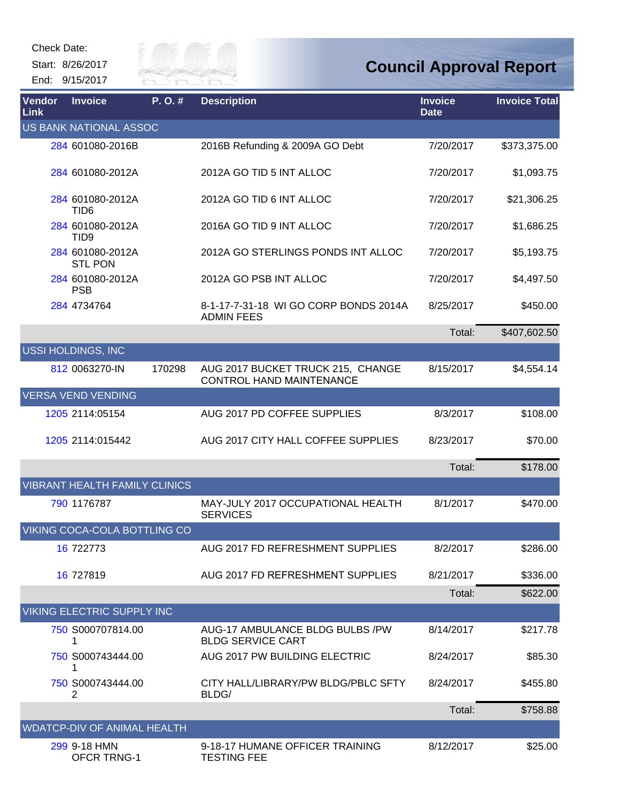Check Date:



| <b>Vendor</b><br>Link | <b>Invoice</b>                       | P.O.#  | <b>Description</b>                                            | <b>Invoice</b><br><b>Date</b> | <b>Invoice Total</b> |
|-----------------------|--------------------------------------|--------|---------------------------------------------------------------|-------------------------------|----------------------|
|                       | US BANK NATIONAL ASSOC               |        |                                                               |                               |                      |
|                       | 284 601080-2016B                     |        | 2016B Refunding & 2009A GO Debt                               | 7/20/2017                     | \$373,375.00         |
|                       | 284 601080-2012A                     |        | 2012A GO TID 5 INT ALLOC                                      | 7/20/2017                     | \$1,093.75           |
|                       | 284 601080-2012A<br>TID <sub>6</sub> |        | 2012A GO TID 6 INT ALLOC                                      | 7/20/2017                     | \$21,306.25          |
|                       | 284 601080-2012A<br>TID <sub>9</sub> |        | 2016A GO TID 9 INT ALLOC                                      | 7/20/2017                     | \$1,686.25           |
|                       | 284 601080-2012A<br><b>STL PON</b>   |        | 2012A GO STERLINGS PONDS INT ALLOC                            | 7/20/2017                     | \$5,193.75           |
|                       | 284 601080-2012A<br><b>PSB</b>       |        | 2012A GO PSB INT ALLOC                                        | 7/20/2017                     | \$4,497.50           |
|                       | 284 4734764                          |        | 8-1-17-7-31-18 WI GO CORP BONDS 2014A<br><b>ADMIN FEES</b>    | 8/25/2017                     | \$450.00             |
|                       |                                      |        |                                                               | Total:                        | \$407,602.50         |
|                       | USSI HOLDINGS, INC                   |        |                                                               |                               |                      |
|                       | 812 0063270-IN                       | 170298 | AUG 2017 BUCKET TRUCK 215, CHANGE<br>CONTROL HAND MAINTENANCE | 8/15/2017                     | \$4,554.14           |
|                       | <b>VERSA VEND VENDING</b>            |        |                                                               |                               |                      |
|                       | 1205 2114:05154                      |        | AUG 2017 PD COFFEE SUPPLIES                                   | 8/3/2017                      | \$108.00             |
|                       | 1205 2114:015442                     |        | AUG 2017 CITY HALL COFFEE SUPPLIES                            | 8/23/2017                     | \$70.00              |
|                       |                                      |        |                                                               | Total:                        | \$178.00             |
|                       | <b>VIBRANT HEALTH FAMILY CLINICS</b> |        |                                                               |                               |                      |
|                       | 790 1176787                          |        | MAY-JULY 2017 OCCUPATIONAL HEALTH<br><b>SERVICES</b>          | 8/1/2017                      | \$470.00             |
|                       | VIKING COCA-COLA BOTTLING CO         |        |                                                               |                               |                      |
|                       | 16 722773                            |        | AUG 2017 FD REFRESHMENT SUPPLIES                              | 8/2/2017                      | \$286.00             |
|                       | 16 727819                            |        | AUG 2017 FD REFRESHMENT SUPPLIES                              | 8/21/2017                     | \$336.00             |
|                       |                                      |        |                                                               | Total:                        | \$622.00             |
|                       | VIKING ELECTRIC SUPPLY INC           |        |                                                               |                               |                      |
|                       | 750 S000707814.00                    |        | AUG-17 AMBULANCE BLDG BULBS /PW<br><b>BLDG SERVICE CART</b>   | 8/14/2017                     | \$217.78             |
|                       | 750 S000743444.00<br>1               |        | AUG 2017 PW BUILDING ELECTRIC                                 | 8/24/2017                     | \$85.30              |
|                       | 750 S000743444.00<br>2               |        | CITY HALL/LIBRARY/PW BLDG/PBLC SFTY<br>BLDG/                  | 8/24/2017                     | \$455.80             |
|                       |                                      |        |                                                               | Total:                        | \$758.88             |
|                       | <b>WDATCP-DIV OF ANIMAL HEALTH</b>   |        |                                                               |                               |                      |
|                       | 299 9-18 HMN<br><b>OFCR TRNG-1</b>   |        | 9-18-17 HUMANE OFFICER TRAINING<br><b>TESTING FEE</b>         | 8/12/2017                     | \$25.00              |